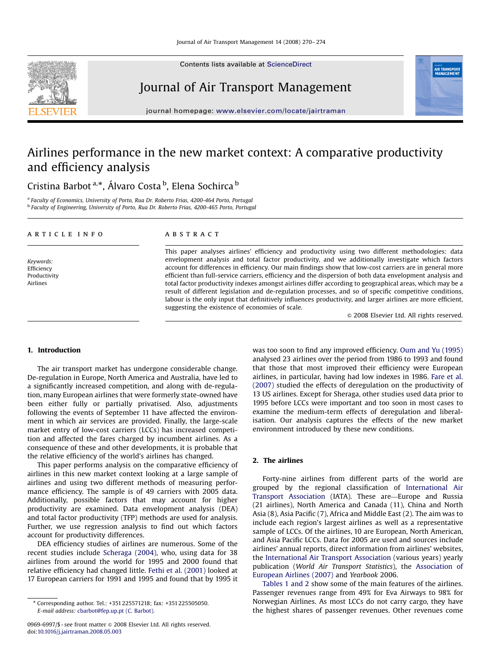Contents lists available at [ScienceDirect](www.sciencedirect.com/science/journal/jatm)

# Journal of Air Transport Management

journal homepage: <www.elsevier.com/locate/jairtraman>

# Airlines performance in the new market context: A comparative productivity and efficiency analysis

# Cristina Barbot<sup>a,</sup>\*, Álvaro Costa <sup>b</sup>, Elena Sochirca <sup>b</sup>

<sup>a</sup> Faculty of Economics, University of Porto, Rua Dr. Roberto Frias, 4200-464 Porto, Portugal <sup>b</sup> Faculty of Engineering, University of Porto, Rua Dr. Roberto Frias, 4200-465 Porto, Portugal

|  |  |  | ARTICLE INFO |  |  |
|--|--|--|--------------|--|--|

### ABSTRACT

This paper analyses airlines' efficiency and productivity using two different methodologies: data envelopment analysis and total factor productivity, and we additionally investigate which factors account for differences in efficiency. Our main findings show that low-cost carriers are in general more efficient than full-service carriers, efficiency and the dispersion of both data envelopment analysis and total factor productivity indexes amongst airlines differ according to geographical areas, which may be a result of different legislation and de-regulation processes, and so of specific competitive conditions, labour is the only input that definitively influences productivity, and larger airlines are more efficient, suggesting the existence of economies of scale.

 $\odot$  2008 Elsevier Ltd. All rights reserved.

## 1. Introduction

Keywords: Efficiency Productivity Airlines

The air transport market has undergone considerable change. De-regulation in Europe, North America and Australia, have led to a significantly increased competition, and along with de-regulation, many European airlines that were formerly state-owned have been either fully or partially privatised. Also, adjustments following the events of September 11 have affected the environment in which air services are provided. Finally, the large-scale market entry of low-cost carriers (LCCs) has increased competition and affected the fares charged by incumbent airlines. As a consequence of these and other developments, it is probable that the relative efficiency of the world's airlines has changed.

This paper performs analysis on the comparative efficiency of airlines in this new market context looking at a large sample of airlines and using two different methods of measuring performance efficiency. The sample is of 49 carriers with 2005 data. Additionally, possible factors that may account for higher productivity are examined. Data envelopment analysis (DEA) and total factor productivity (TFP) methods are used for analysis. Further, we use regression analysis to find out which factors account for productivity differences.

DEA efficiency studies of airlines are numerous. Some of the recent studies include [Scheraga \(2004\),](#page--1-0) who, using data for 38 airlines from around the world for 1995 and 2000 found that relative efficiency had changed little. [Fethi et al. \(2001\)](#page--1-0) looked at 17 European carriers for 1991 and 1995 and found that by 1995 it was too soon to find any improved efficiency. [Oum and Yu \(1995\)](#page--1-0) analysed 23 airlines over the period from 1986 to 1993 and found that those that most improved their efficiency were European airlines, in particular, having had low indexes in 1986. [Fare et al.](#page--1-0) [\(2007\)](#page--1-0) studied the effects of deregulation on the productivity of 13 US airlines. Except for Sheraga, other studies used data prior to 1995 before LCCs were important and too soon in most cases to examine the medium-term effects of deregulation and liberalisation. Our analysis captures the effects of the new market environment introduced by these new conditions.

### 2. The airlines

Forty-nine airlines from different parts of the world are grouped by the regional classification of [International Air](#page--1-0) [Transport Association](#page--1-0) (IATA). These are—Europe and Russia (21 airlines), North America and Canada (11), China and North Asia (8), Asia Pacific (7), Africa and Middle East (2). The aim was to include each region's largest airlines as well as a representative sample of LCCs. Of the airlines, 10 are European, North American, and Asia Pacific LCCs. Data for 2005 are used and sources include airlines' annual reports, direct information from airlines' websites, the [International Air Transport Association](#page--1-0) (various years) yearly publication (World Air Transport Statistics), the [Association of](#page--1-0) [European Airlines \(2007\)](#page--1-0) and Yearbook 2006.

[Tables 1 and 2](#page-1-0) show some of the main features of the airlines. Passenger revenues range from 49% for Eva Airways to 98% for Norwegian Airlines. As most LCCs do not carry cargo, they have the highest shares of passenger revenues. Other revenues come



<sup>-</sup> Corresponding author. Tel.: +351 225571218; fax: +351 225505050. E-mail address: [cbarbot@fep.up.pt \(C. Barbot\).](mailto:cbarbot@fep.up.pt)

<sup>0969-6997/\$ -</sup> see front matter  $\circ$  2008 Elsevier Ltd. All rights reserved. doi:[10.1016/j.jairtraman.2008.05.003](dx.doi.org/10.1016/j.jairtraman.2008.05.003)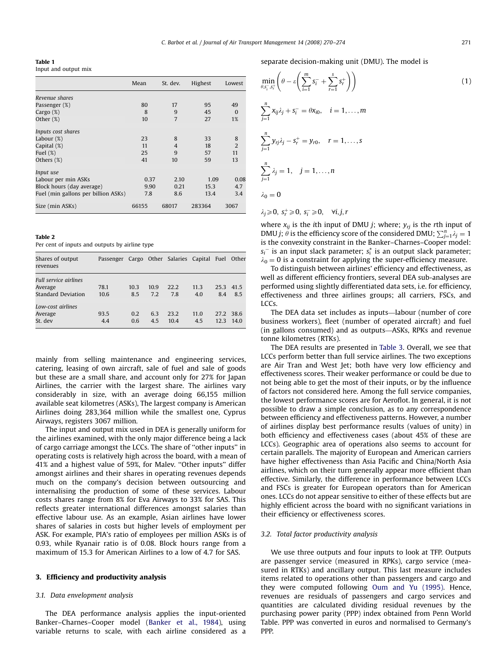<span id="page-1-0"></span>Table 1 Input and output mix

|                                     | Mean  | St. dev.       | Highest | Lowest         |
|-------------------------------------|-------|----------------|---------|----------------|
| Revenue shares                      |       |                |         |                |
| Passenger (%)                       | 80    | 17             | 95      | 49             |
| Cargo $(\%)$                        | 8     | 9              | 45      | $\Omega$       |
| Other $(\%)$                        | 10    | $\overline{7}$ | 27      | 1%             |
| Inputs cost shares                  |       |                |         |                |
| Labour (%)                          | 23    | 8              | 33      | 8              |
| Capital (%)                         | 11    | $\overline{4}$ | 18      | $\overline{2}$ |
| Fuel $(\%)$                         | 25    | 9              | 57      | 11             |
| Others (%)                          | 41    | 10             | 59      | 13             |
| Input use                           |       |                |         |                |
| Labour per min ASKs                 | 0.37  | 2.10           | 1.09    | 0.08           |
| Block hours (day average)           | 9.90  | 0.21           | 15.3    | 4.7            |
| Fuel (min gallons per billion ASKs) | 7.8   | 8.6            | 13.4    | 3.4            |
| Size (min ASKs)                     | 66155 | 68017          | 283364  | 3067           |

Table 2

Per cent of inputs and outputs by airline type

| Shares of output<br>revenues                                  | Passenger    |             |             | Cargo Other Salaries Capital Fuel Other |             |                   |             |
|---------------------------------------------------------------|--------------|-------------|-------------|-----------------------------------------|-------------|-------------------|-------------|
| <b>Full service airlines</b><br>Average<br>Standard Deviation | 78.1<br>10.6 | 10.3<br>8.5 | 10.9<br>7.2 | 22.2<br>7.8                             | 11.3<br>4.0 | 25.3<br>8.4       | 41.5<br>8.5 |
| Low-cost airlines<br>Average<br>St. dev                       | 93.5<br>4.4  | 0.2<br>0.6  | 6.3<br>4.5  | 23.2<br>10.4                            | 11.0<br>4.5 | 27.2 38.6<br>12.3 | 14.0        |

mainly from selling maintenance and engineering services, catering, leasing of own aircraft, sale of fuel and sale of goods but these are a small share, and account only for 27% for Japan Airlines, the carrier with the largest share. The airlines vary considerably in size, with an average doing 66,155 million available seat kilometres (ASKs), The largest company is American Airlines doing 283,364 million while the smallest one, Cyprus Airways, registers 3067 million.

The input and output mix used in DEA is generally uniform for the airlines examined, with the only major difference being a lack of cargo carriage amongst the LCCs. The share of ''other inputs'' in operating costs is relatively high across the board, with a mean of 41% and a highest value of 59%, for Malev. ''Other inputs'' differ amongst airlines and their shares in operating revenues depends much on the company's decision between outsourcing and internalising the production of some of these services. Labour costs shares range from 8% for Eva Airways to 33% for SAS. This reflects greater international differences amongst salaries than effective labour use. As an example, Asian airlines have lower shares of salaries in costs but higher levels of employment per ASK. For example, PIA's ratio of employees per million ASKs is of 0.93, while Ryanair ratio is of 0.08. Block hours range from a maximum of 15.3 for American Airlines to a low of 4.7 for SAS.

### 3. Efficiency and productivity analysis

#### 3.1. Data envelopment analysis

The DEA performance analysis applies the input-oriented Banker–Charnes–Cooper model [\(Banker et al., 1984](#page--1-0)), using variable returns to scale, with each airline considered as a separate decision-making unit (DMU). The model is

$$
\min_{\theta, s_i^-, s_r^+} \left( \theta - \varepsilon \left( \sum_{i=1}^m s_i^- + \sum_{r=1}^s s_r^+ \right) \right)
$$
\n
$$
\sum_{j=1}^n x_{ij} \lambda_j + s_i^- = \theta x_{i0}, \quad i = 1, ..., m
$$
\n
$$
\sum_{j=1}^n y_{rj} \lambda_j - s_r^+ = y_{r0}, \quad r = 1, ..., s
$$
\n
$$
\sum_{j=1}^n \lambda_j = 1, \quad j = 1, ..., n
$$
\n
$$
\lambda_0 = 0
$$
\n
$$
\lambda_j \geq 0, s_r^+ \geq 0, s_i^- \geq 0, \quad \forall i, j, r
$$
\n(1)

where  $x_{ij}$  is the *i*th input of DMU *j*; where;  $y_{rj}$  is the *r*th input of DMU j;  $\theta$  is the efficiency score of the considered DMU;  $\sum_{j=1}^{n} \lambda_j = 1$ is the convexity constraint in the Banker–Charnes–Cooper model:  $s_i^-$  is an input slack parameter;  $s_i^+$  is an output slack parameter;  $\lambda_0 = 0$  is a constraint for applying the super-efficiency measure.

To distinguish between airlines' efficiency and effectiveness, as well as different efficiency frontiers, several DEA sub-analyses are performed using slightly differentiated data sets, i.e. for efficiency, effectiveness and three airlines groups; all carriers, FSCs, and LCCs.

The DEA data set includes as inputs—labour (number of core business workers), fleet (number of operated aircraft) and fuel (in gallons consumed) and as outputs—ASKs, RPKs and revenue tonne kilometres (RTKs).

The DEA results are presented in [Table 3.](#page--1-0) Overall, we see that LCCs perform better than full service airlines. The two exceptions are Air Tran and West Jet; both have very low efficiency and effectiveness scores. Their weaker performance or could be due to not being able to get the most of their inputs, or by the influence of factors not considered here. Among the full service companies, the lowest performance scores are for Aeroflot. In general, it is not possible to draw a simple conclusion, as to any correspondence between efficiency and effectiveness patterns. However, a number of airlines display best performance results (values of unity) in both efficiency and effectiveness cases (about 45% of these are LCCs). Geographic area of operations also seems to account for certain parallels. The majority of European and American carriers have higher effectiveness than Asia Pacific and China/North Asia airlines, which on their turn generally appear more efficient than effective. Similarly, the difference in performance between LCCs and FSCs is greater for European operators than for American ones. LCCs do not appear sensitive to either of these effects but are highly efficient across the board with no significant variations in their efficiency or effectiveness scores.

### 3.2. Total factor productivity analysis

We use three outputs and four inputs to look at TFP. Outputs are passenger service (measured in RPKs), cargo service (measured in RTKs) and ancillary output. This last measure includes items related to operations other than passengers and cargo and they were computed following [Oum and Yu \(1995\)](#page--1-0). Hence, revenues are residuals of passengers and cargo services and quantities are calculated dividing residual revenues by the purchasing power parity (PPP) index obtained from Penn World Table. PPP was converted in euros and normalised to Germany's PPP.